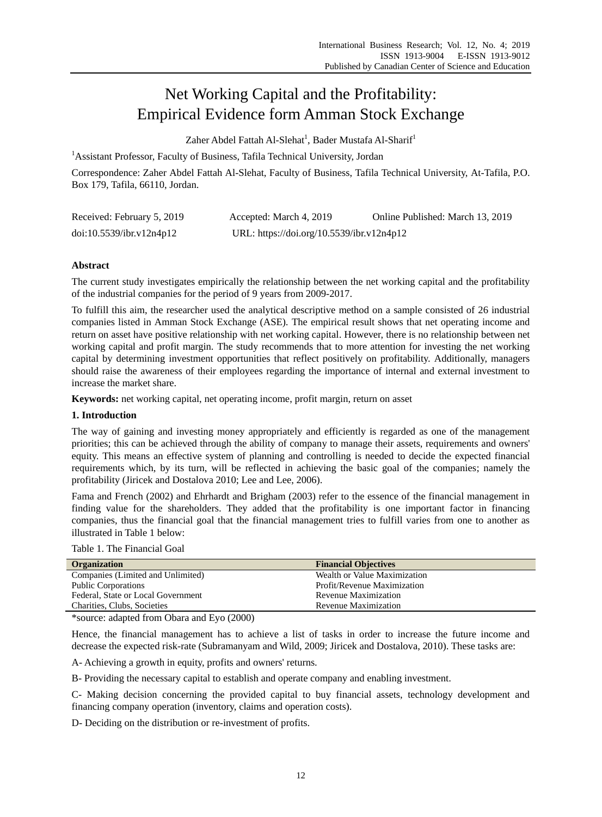# Net Working Capital and the Profitability: Empirical Evidence form Amman Stock Exchange

Zaher Abdel Fattah Al-Slehat<sup>1</sup>, Bader Mustafa Al-Sharif<sup>1</sup>

<sup>1</sup> Assistant Professor, Faculty of Business, Tafila Technical University, Jordan

Correspondence: Zaher Abdel Fattah Al-Slehat, Faculty of Business, Tafila Technical University, At-Tafila, P.O. Box 179, Tafila, 66110, Jordan.

| Received: February 5, 2019 | Accepted: March 4, 2019                   | Online Published: March 13, 2019 |
|----------------------------|-------------------------------------------|----------------------------------|
| doi:10.5539/ibr.v12n4p12   | URL: https://doi.org/10.5539/ibr.v12n4p12 |                                  |

# **Abstract**

The current study investigates empirically the relationship between the net working capital and the profitability of the industrial companies for the period of 9 years from 2009-2017.

To fulfill this aim, the researcher used the analytical descriptive method on a sample consisted of 26 industrial companies listed in Amman Stock Exchange (ASE). The empirical result shows that net operating income and return on asset have positive relationship with net working capital. However, there is no relationship between net working capital and profit margin. The study recommends that to more attention for investing the net working capital by determining investment opportunities that reflect positively on profitability. Additionally, managers should raise the awareness of their employees regarding the importance of internal and external investment to increase the market share.

**Keywords:** net working capital, net operating income, profit margin, return on asset

# **1. Introduction**

The way of gaining and investing money appropriately and efficiently is regarded as one of the management priorities; this can be achieved through the ability of company to manage their assets, requirements and owners' equity. This means an effective system of planning and controlling is needed to decide the expected financial requirements which, by its turn, will be reflected in achieving the basic goal of the companies; namely the profitability (Jiricek and Dostalova 2010; Lee and Lee, 2006).

Fama and French (2002) and Ehrhardt and Brigham (2003) refer to the essence of the financial management in finding value for the shareholders. They added that the profitability is one important factor in financing companies, thus the financial goal that the financial management tries to fulfill varies from one to another as illustrated in Table 1 below:

|  |  | Table 1. The Financial Goal |  |
|--|--|-----------------------------|--|
|--|--|-----------------------------|--|

| <b>Organization</b>                | <b>Financial Objectives</b>  |
|------------------------------------|------------------------------|
| Companies (Limited and Unlimited)  | Wealth or Value Maximization |
| <b>Public Corporations</b>         | Profit/Revenue Maximization  |
| Federal, State or Local Government | Revenue Maximization         |
| Charities, Clubs, Societies        | Revenue Maximization         |

\*source: adapted from Obara and Eyo (2000)

Hence, the financial management has to achieve a list of tasks in order to increase the future income and decrease the expected risk-rate (Subramanyam and Wild, 2009; Jiricek and Dostalova, 2010). These tasks are:

A- Achieving a growth in equity, profits and owners' returns.

B- Providing the necessary capital to establish and operate company and enabling investment.

C- Making decision concerning the provided capital to buy financial assets, technology development and financing company operation (inventory, claims and operation costs).

D- Deciding on the distribution or re-investment of profits.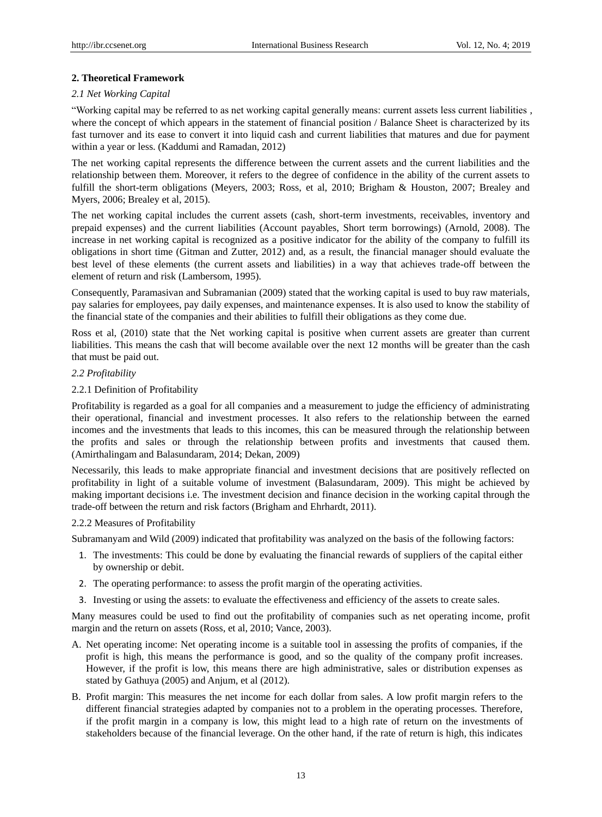## **2. Theoretical Framework**

## *2.1 Net Working Capital*

"Working capital may be referred to as net working capital generally means: current assets less current liabilities , where the concept of which appears in the statement of financial position / Balance Sheet is characterized by its fast turnover and its ease to convert it into liquid cash and current liabilities that matures and due for payment within a year or less. (Kaddumi and Ramadan, 2012)

The net working capital represents the difference between the current assets and the current liabilities and the relationship between them. Moreover, it refers to the degree of confidence in the ability of the current assets to fulfill the short-term obligations (Meyers, 2003; Ross, et al, 2010; Brigham & Houston, 2007; Brealey and Myers, 2006; Brealey et al, 2015).

The net working capital includes the current assets (cash, short-term investments, receivables, inventory and prepaid expenses) and the current liabilities (Account payables, Short term borrowings) (Arnold, 2008). The increase in net working capital is recognized as a positive indicator for the ability of the company to fulfill its obligations in short time (Gitman and Zutter, 2012) and, as a result, the financial manager should evaluate the best level of these elements (the current assets and liabilities) in a way that achieves trade-off between the element of return and risk (Lambersom, 1995).

Consequently, Paramasivan and Subramanian (2009) stated that the working capital is used to buy raw materials, pay salaries for employees, pay daily expenses, and maintenance expenses. It is also used to know the stability of the financial state of the companies and their abilities to fulfill their obligations as they come due.

Ross et al, (2010) state that the Net working capital is positive when current assets are greater than current liabilities. This means the cash that will become available over the next 12 months will be greater than the cash that must be paid out.

# *2.2 Profitability*

## 2.2.1 Definition of Profitability

Profitability is regarded as a goal for all companies and a measurement to judge the efficiency of administrating their operational, financial and investment processes. It also refers to the relationship between the earned incomes and the investments that leads to this incomes, this can be measured through the relationship between the profits and sales or through the relationship between profits and investments that caused them. (Amirthalingam and Balasundaram, 2014; Dekan, 2009)

Necessarily, this leads to make appropriate financial and investment decisions that are positively reflected on profitability in light of a suitable volume of investment (Balasundaram, 2009). This might be achieved by making important decisions i.e. The investment decision and finance decision in the working capital through the trade-off between the return and risk factors (Brigham and Ehrhardt, 2011).

#### 2.2.2 Measures of Profitability

Subramanyam and Wild (2009) indicated that profitability was analyzed on the basis of the following factors:

- 1. The investments: This could be done by evaluating the financial rewards of suppliers of the capital either by ownership or debit.
- 2. The operating performance: to assess the profit margin of the operating activities.
- 3. Investing or using the assets: to evaluate the effectiveness and efficiency of the assets to create sales.

Many measures could be used to find out the profitability of companies such as net operating income, profit margin and the return on assets (Ross, et al, 2010; Vance, 2003).

- A. Net operating income: Net operating income is a suitable tool in assessing the profits of companies, if the profit is high, this means the performance is good, and so the quality of the company profit increases. However, if the profit is low, this means there are high administrative, sales or distribution expenses as stated by Gathuya (2005) and Anjum, et al (2012).
- B. Profit margin: This measures the net income for each dollar from sales. A low profit margin refers to the different financial strategies adapted by companies not to a problem in the operating processes. Therefore, if the profit margin in a company is low, this might lead to a high rate of return on the investments of stakeholders because of the financial leverage. On the other hand, if the rate of return is high, this indicates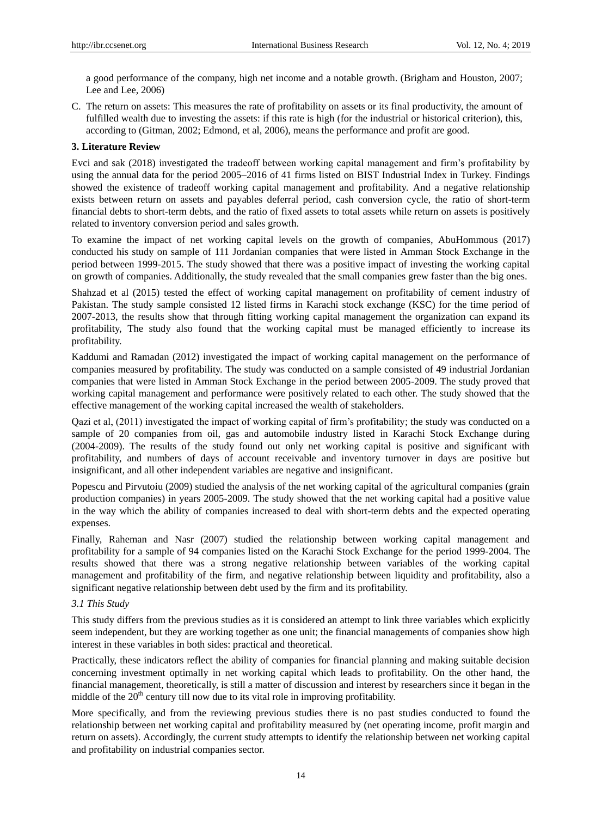a good performance of the company, high net income and a notable growth. (Brigham and Houston, 2007; Lee and Lee, 2006)

C. The return on assets: This measures the rate of profitability on assets or its final productivity, the amount of fulfilled wealth due to investing the assets: if this rate is high (for the industrial or historical criterion), this, according to (Gitman, 2002; Edmond, et al, 2006), means the performance and profit are good.

## **3. Literature Review**

Evci and sak (2018) investigated the tradeoff between working capital management and firm's profitability by using the annual data for the period 2005–2016 of 41 firms listed on BIST Industrial Index in Turkey. Findings showed the existence of tradeoff working capital management and profitability. And a negative relationship exists between return on assets and payables deferral period, cash conversion cycle, the ratio of short-term financial debts to short-term debts, and the ratio of fixed assets to total assets while return on assets is positively related to inventory conversion period and sales growth.

To examine the impact of net working capital levels on the growth of companies, AbuHommous (2017) conducted his study on sample of 111 Jordanian companies that were listed in Amman Stock Exchange in the period between 1999-2015. The study showed that there was a positive impact of investing the working capital on growth of companies. Additionally, the study revealed that the small companies grew faster than the big ones.

Shahzad et al (2015) tested the effect of working capital management on profitability of cement industry of Pakistan. The study sample consisted 12 listed firms in Karachi stock exchange (KSC) for the time period of 2007-2013, the results show that through fitting working capital management the organization can expand its profitability, The study also found that the working capital must be managed efficiently to increase its profitability.

Kaddumi and Ramadan (2012) investigated the impact of working capital management on the performance of companies measured by profitability. The study was conducted on a sample consisted of 49 industrial Jordanian companies that were listed in Amman Stock Exchange in the period between 2005-2009. The study proved that working capital management and performance were positively related to each other. The study showed that the effective management of the working capital increased the wealth of stakeholders.

Qazi et al, (2011) investigated the impact of working capital of firm's profitability; the study was conducted on a sample of 20 companies from oil, gas and automobile industry listed in Karachi Stock Exchange during (2004-2009). The results of the study found out only net working capital is positive and significant with profitability, and numbers of days of account receivable and inventory turnover in days are positive but insignificant, and all other independent variables are negative and insignificant.

Popescu and Pirvutoiu (2009) studied the analysis of the net working capital of the agricultural companies (grain production companies) in years 2005-2009. The study showed that the net working capital had a positive value in the way which the ability of companies increased to deal with short-term debts and the expected operating expenses.

Finally, Raheman and Nasr (2007) studied the relationship between working capital management and profitability for a sample of 94 companies listed on the Karachi Stock Exchange for the period 1999-2004. The results showed that there was a strong negative relationship between variables of the working capital management and profitability of the firm, and negative relationship between liquidity and profitability, also a significant negative relationship between debt used by the firm and its profitability.

## *3.1 This Study*

This study differs from the previous studies as it is considered an attempt to link three variables which explicitly seem independent, but they are working together as one unit; the financial managements of companies show high interest in these variables in both sides: practical and theoretical.

Practically, these indicators reflect the ability of companies for financial planning and making suitable decision concerning investment optimally in net working capital which leads to profitability. On the other hand, the financial management, theoretically, is still a matter of discussion and interest by researchers since it began in the middle of the  $20<sup>th</sup>$  century till now due to its vital role in improving profitability.

More specifically, and from the reviewing previous studies there is no past studies conducted to found the relationship between net working capital and profitability measured by (net operating income, profit margin and return on assets). Accordingly, the current study attempts to identify the relationship between net working capital and profitability on industrial companies sector.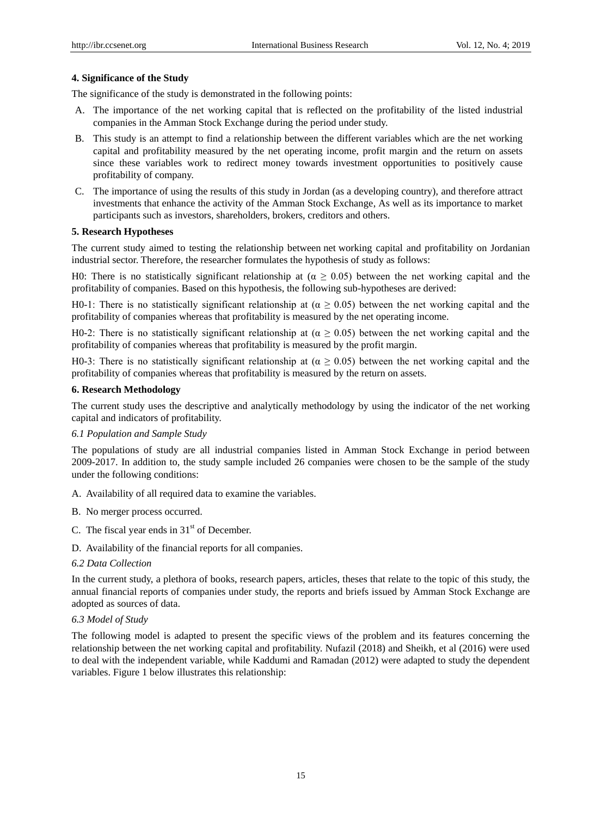# **4. Significance of the Study**

The significance of the study is demonstrated in the following points:

- A. The importance of the net working capital that is reflected on the profitability of the listed industrial companies in the Amman Stock Exchange during the period under study.
- B. This study is an attempt to find a relationship between the different variables which are the net working capital and profitability measured by the net operating income, profit margin and the return on assets since these variables work to redirect money towards investment opportunities to positively cause profitability of company.
- C. The importance of using the results of this study in Jordan (as a developing country), and therefore attract investments that enhance the activity of the Amman Stock Exchange, As well as its importance to market participants such as investors, shareholders, brokers, creditors and others.

#### **5. Research Hypotheses**

The current study aimed to testing the relationship between net working capital and profitability on Jordanian industrial sector. Therefore, the researcher formulates the hypothesis of study as follows:

H0: There is no statistically significant relationship at  $(\alpha \ge 0.05)$  between the net working capital and the profitability of companies. Based on this hypothesis, the following sub-hypotheses are derived:

H0-1: There is no statistically significant relationship at ( $α$   $\geq$  0.05) between the net working capital and the profitability of companies whereas that profitability is measured by the net operating income.

H0-2: There is no statistically significant relationship at ( $\alpha \ge 0.05$ ) between the net working capital and the profitability of companies whereas that profitability is measured by the profit margin.

H0-3: There is no statistically significant relationship at ( $\alpha \ge 0.05$ ) between the net working capital and the profitability of companies whereas that profitability is measured by the return on assets.

## **6. Research Methodology**

The current study uses the descriptive and analytically methodology by using the indicator of the net working capital and indicators of profitability.

#### *6.1 Population and Sample Study*

The populations of study are all industrial companies listed in Amman Stock Exchange in period between 2009-2017. In addition to, the study sample included 26 companies were chosen to be the sample of the study under the following conditions:

A. Availability of all required data to examine the variables.

- B. No merger process occurred.
- C. The fiscal year ends in  $31<sup>st</sup>$  of December.
- D. Availability of the financial reports for all companies.

# *6.2 Data Collection*

In the current study, a plethora of books, research papers, articles, theses that relate to the topic of this study, the annual financial reports of companies under study, the reports and briefs issued by Amman Stock Exchange are adopted as sources of data.

## *6.3 Model of Study*

The following model is adapted to present the specific views of the problem and its features concerning the relationship between the net working capital and profitability. Nufazil (2018) and Sheikh, et al (2016) were used to deal with the independent variable, while Kaddumi and Ramadan (2012) were adapted to study the dependent variables. Figure 1 below illustrates this relationship: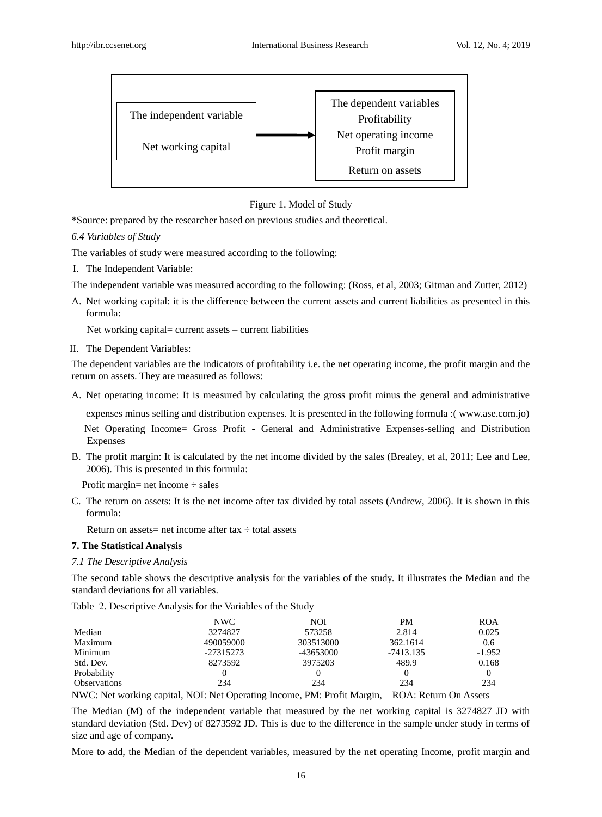



\*Source: prepared by the researcher based on previous studies and theoretical.

*6.4 Variables of Study*

The variables of study were measured according to the following:

I. The Independent Variable:

The independent variable was measured according to the following: (Ross, et al, 2003; Gitman and Zutter, 2012)

A. Net working capital: it is the difference between the current assets and current liabilities as presented in this formula:

Net working capital= current assets – current liabilities

II. The Dependent Variables:

The dependent variables are the indicators of profitability i.e. the net operating income, the profit margin and the return on assets. They are measured as follows:

A. Net operating income: It is measured by calculating the gross profit minus the general and administrative

expenses minus selling and distribution expenses. It is presented in the following formula :( www.ase.com.jo) Net Operating Income= Gross Profit - General and Administrative Expenses-selling and Distribution Expenses

B. The profit margin: It is calculated by the net income divided by the sales (Brealey, et al, 2011; Lee and Lee, 2006). This is presented in this formula:

Profit margin= net income  $\div$  sales

C. The return on assets: It is the net income after tax divided by total assets (Andrew, 2006). It is shown in this formula:

Return on assets= net income after tax  $\div$  total assets

# **7. The Statistical Analysis**

# *7.1 The Descriptive Analysis*

The second table shows the descriptive analysis for the variables of the study. It illustrates the Median and the standard deviations for all variables.

|                     | NWC       | <b>NOI</b> | PМ          | <b>ROA</b> |
|---------------------|-----------|------------|-------------|------------|
| Median              | 3274827   | 573258     | 2.814       | 0.025      |
| Maximum             | 490059000 | 303513000  | 362.1614    | 0.6        |
| Minimum             | -27315273 | -43653000  | $-7413.135$ | $-1.952$   |
| Std. Dev.           | 8273592   | 3975203    | 489.9       | 0.168      |
| Probability         |           |            |             |            |
| <b>Observations</b> | 234       | 234        | 234         | 234        |

Table 2. Descriptive Analysis for the Variables of the Study

NWC: Net working capital, NOI: Net Operating Income, PM: Profit Margin, ROA: Return On Assets

The Median (M) of the independent variable that measured by the net working capital is 3274827 JD with standard deviation (Std. Dev) of 8273592 JD. This is due to the difference in the sample under study in terms of size and age of company.

More to add, the Median of the dependent variables, measured by the net operating Income, profit margin and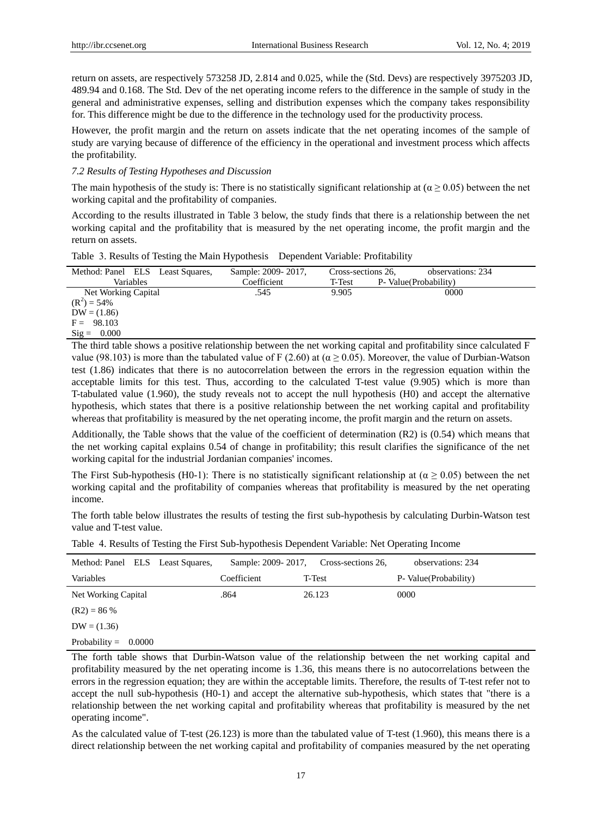return on assets, are respectively 573258 JD, 2.814 and 0.025, while the (Std. Devs) are respectively 3975203 JD, 489.94 and 0.168. The Std. Dev of the net operating income refers to the difference in the sample of study in the general and administrative expenses, selling and distribution expenses which the company takes responsibility for. This difference might be due to the difference in the technology used for the productivity process.

However, the profit margin and the return on assets indicate that the net operating incomes of the sample of study are varying because of difference of the efficiency in the operational and investment process which affects the profitability.

#### *7.2 Results of Testing Hypotheses and Discussion*

The main hypothesis of the study is: There is no statistically significant relationship at ( $\alpha \ge 0.05$ ) between the net working capital and the profitability of companies.

According to the results illustrated in Table 3 below, the study finds that there is a relationship between the net working capital and the profitability that is measured by the net operating income, the profit margin and the return on assets.

|  |  |  |  |  | Table 3. Results of Testing the Main Hypothesis Dependent Variable: Profitability |
|--|--|--|--|--|-----------------------------------------------------------------------------------|
|--|--|--|--|--|-----------------------------------------------------------------------------------|

| Method: Panel ELS Least Squares, | Sample: 2009-2017,                                                                                                                                                                                                                         | Cross-sections 26, | observations: 234      |            |
|----------------------------------|--------------------------------------------------------------------------------------------------------------------------------------------------------------------------------------------------------------------------------------------|--------------------|------------------------|------------|
| Variables                        | Coefficient                                                                                                                                                                                                                                | T-Test             | P- Value (Probability) |            |
| Net Working Capital              | .545                                                                                                                                                                                                                                       | 9.905              | 0000                   |            |
| $(R^2) = 54\%$                   |                                                                                                                                                                                                                                            |                    |                        |            |
| $DW = (1.86)$                    |                                                                                                                                                                                                                                            |                    |                        |            |
| $F = 98.103$                     |                                                                                                                                                                                                                                            |                    |                        |            |
| $\text{Sig} = 0.000$             |                                                                                                                                                                                                                                            |                    |                        |            |
| $-11 - 11 - 11 - 11$             | $\mathbf{r} \cdot \mathbf{r}$ , and a set of the set of the set of the set of the set of the set of the set of the set of the set of the set of the set of the set of the set of the set of the set of the set of the set of the set of th | $\cdots$ $\cdots$  |                        | 1, 1, 1, 1 |

The third table shows a positive relationship between the net working capital and profitability since calculated F value (98.103) is more than the tabulated value of F (2.60) at (α  $\geq$  0.05). Moreover, the value of Durbian-Watson test (1.86) indicates that there is no autocorrelation between the errors in the regression equation within the acceptable limits for this test. Thus, according to the calculated T-test value (9.905) which is more than T-tabulated value (1.960), the study reveals not to accept the null hypothesis (H0) and accept the alternative hypothesis, which states that there is a positive relationship between the net working capital and profitability whereas that profitability is measured by the net operating income, the profit margin and the return on assets.

Additionally, the Table shows that the value of the coefficient of determination (R2) is (0.54) which means that the net working capital explains 0.54 of change in profitability; this result clarifies the significance of the net working capital for the industrial Jordanian companies' incomes.

The First Sub-hypothesis (H0-1): There is no statistically significant relationship at ( $\alpha \ge 0.05$ ) between the net working capital and the profitability of companies whereas that profitability is measured by the net operating income.

The forth table below illustrates the results of testing the first sub-hypothesis by calculating Durbin-Watson test value and T-test value.

| Method: Panel ELS Least Squares, | Sample: 2009-2017. | Cross-sections 26, | observations: 234     |
|----------------------------------|--------------------|--------------------|-----------------------|
| Variables                        | Coefficient        | T-Test             | P- Value(Probability) |
| Net Working Capital              | .864               | 26.123             | 0000                  |
| $(R2) = 86%$                     |                    |                    |                       |
| $DW = (1.36)$                    |                    |                    |                       |
| Probability $=$<br>0.0000        |                    |                    |                       |

The forth table shows that Durbin-Watson value of the relationship between the net working capital and profitability measured by the net operating income is 1.36, this means there is no autocorrelations between the errors in the regression equation; they are within the acceptable limits. Therefore, the results of T-test refer not to accept the null sub-hypothesis (H0-1) and accept the alternative sub-hypothesis, which states that "there is a relationship between the net working capital and profitability whereas that profitability is measured by the net operating income".

As the calculated value of T-test (26.123) is more than the tabulated value of T-test (1.960), this means there is a direct relationship between the net working capital and profitability of companies measured by the net operating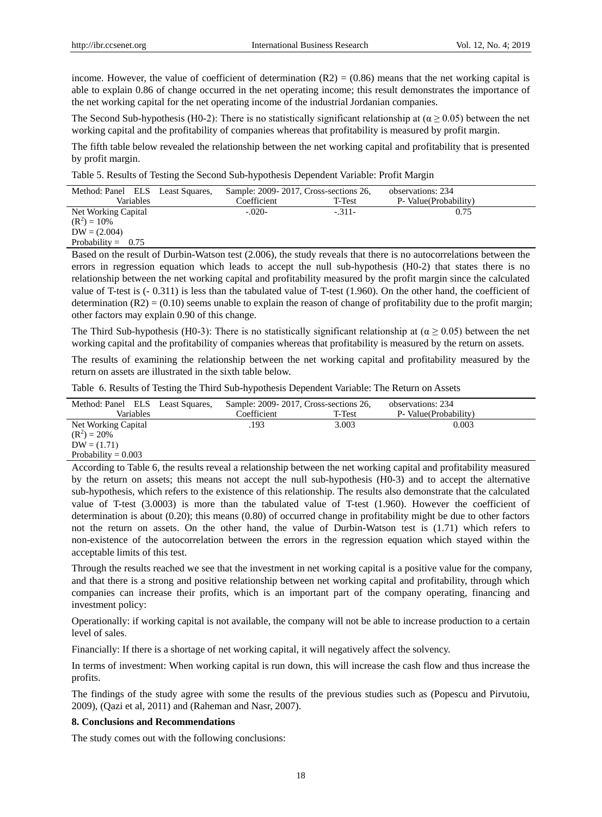income. However, the value of coefficient of determination  $(R2) = (0.86)$  means that the net working capital is able to explain 0.86 of change occurred in the net operating income; this result demonstrates the importance of the net working capital for the net operating income of the industrial Jordanian companies.

The Second Sub-hypothesis (H0-2): There is no statistically significant relationship at ( $\alpha \ge 0.05$ ) between the net working capital and the profitability of companies whereas that profitability is measured by profit margin.

The fifth table below revealed the relationship between the net working capital and profitability that is presented by profit margin.

Table 5. Results of Testing the Second Sub-hypothesis Dependent Variable: Profit Margin

| Method: Panel ELS Least Squares, |  | Sample: 2009-2017, Cross-sections 26, |          | observations: 234      |  |
|----------------------------------|--|---------------------------------------|----------|------------------------|--|
| Variables                        |  | Coefficient                           | T-Test   | P- Value (Probability) |  |
| Net Working Capital              |  | $-.020-$                              | $-.311-$ | 0.75                   |  |
| $(R^2) = 10\%$                   |  |                                       |          |                        |  |
| $DW = (2.004)$                   |  |                                       |          |                        |  |
| Probability = $0.75$             |  |                                       |          |                        |  |

Based on the result of Durbin-Watson test (2.006), the study reveals that there is no autocorrelations between the errors in regression equation which leads to accept the null sub-hypothesis (H0-2) that states there is no relationship between the net working capital and profitability measured by the profit margin since the calculated value of T-test is (- 0.311) is less than the tabulated value of T-test (1.960). On the other hand, the coefficient of determination  $(R2) = (0.10)$  seems unable to explain the reason of change of profitability due to the profit margin; other factors may explain 0.90 of this change.

The Third Sub-hypothesis (H0-3): There is no statistically significant relationship at ( $\alpha \ge 0.05$ ) between the net working capital and the profitability of companies whereas that profitability is measured by the return on assets.

The results of examining the relationship between the net working capital and profitability measured by the return on assets are illustrated in the sixth table below.

Table 6. Results of Testing the Third Sub-hypothesis Dependent Variable: The Return on Assets

| Method: Panel ELS Least Squares, | Sample: 2009-2017, Cross-sections 26, |        | observations: 234                                                                                                  |
|----------------------------------|---------------------------------------|--------|--------------------------------------------------------------------------------------------------------------------|
| Variables                        | Coefficient                           | T-Test | P- Value (Probability)                                                                                             |
| Net Working Capital              | .193                                  | 3.003  | 0.003                                                                                                              |
| $(R^2) = 20\%$                   |                                       |        |                                                                                                                    |
| $DW = (1.71)$                    |                                       |        |                                                                                                                    |
| Probability = $0.003$            |                                       |        |                                                                                                                    |
|                                  |                                       |        | According to Table 6, the results reveal a relationship between the net working capital and profitability measured |

by the return on assets; this means not accept the null sub-hypothesis (H0-3) and to accept the alternative sub-hypothesis, which refers to the existence of this relationship. The results also demonstrate that the calculated value of T-test (3.0003) is more than the tabulated value of T-test (1.960). However the coefficient of determination is about (0.20); this means (0.80) of occurred change in profitability might be due to other factors not the return on assets. On the other hand, the value of Durbin-Watson test is (1.71) which refers to non-existence of the autocorrelation between the errors in the regression equation which stayed within the acceptable limits of this test.

Through the results reached we see that the investment in net working capital is a positive value for the company, and that there is a strong and positive relationship between net working capital and profitability, through which companies can increase their profits, which is an important part of the company operating, financing and investment policy:

Operationally: if working capital is not available, the company will not be able to increase production to a certain level of sales.

Financially: If there is a shortage of net working capital, it will negatively affect the solvency.

In terms of investment: When working capital is run down, this will increase the cash flow and thus increase the profits.

The findings of the study agree with some the results of the previous studies such as (Popescu and Pirvutoiu, 2009), (Qazi et al, 2011) and (Raheman and Nasr, 2007).

# **8. Conclusions and Recommendations**

The study comes out with the following conclusions: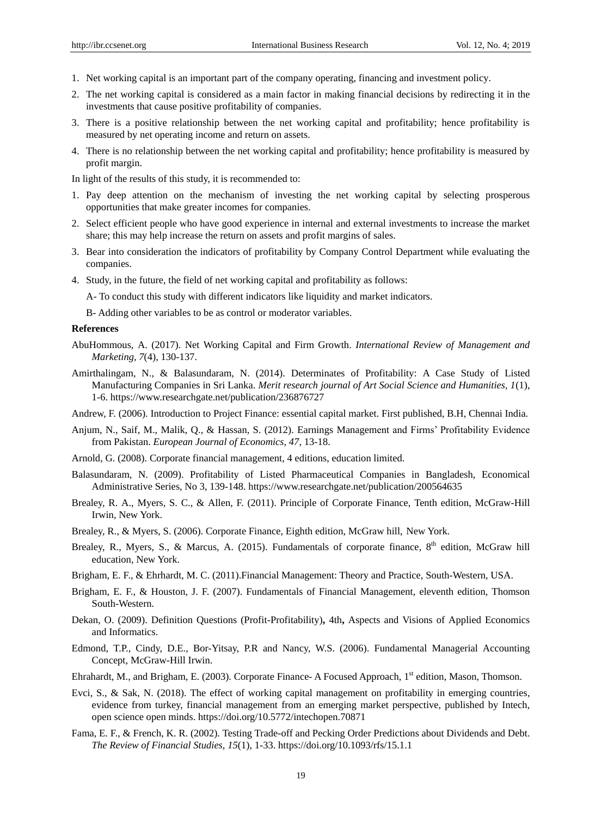- 1. Net working capital is an important part of the company operating, financing and investment policy.
- 2. The net working capital is considered as a main factor in making financial decisions by redirecting it in the investments that cause positive profitability of companies.
- 3. There is a positive relationship between the net working capital and profitability; hence profitability is measured by net operating income and return on assets.
- 4. There is no relationship between the net working capital and profitability; hence profitability is measured by profit margin.

In light of the results of this study, it is recommended to:

- 1. Pay deep attention on the mechanism of investing the net working capital by selecting prosperous opportunities that make greater incomes for companies.
- 2. Select efficient people who have good experience in internal and external investments to increase the market share; this may help increase the return on assets and profit margins of sales.
- 3. Bear into consideration the indicators of profitability by Company Control Department while evaluating the companies.
- 4. Study, in the future, the field of net working capital and profitability as follows:

A- To conduct this study with different indicators like liquidity and market indicators.

B- Adding other variables to be as control or moderator variables.

#### **References**

- AbuHommous, A. (2017). Net Working Capital and Firm Growth. *International Review of Management and Marketing, 7*(4), 130-137.
- Amirthalingam, N., & Balasundaram, N. (2014). Determinates of Profitability: A Case Study of Listed Manufacturing Companies in Sri Lanka. *Merit research journal of Art Social Science and Humanities, 1*(1), 1-6. <https://www.researchgate.net/publication/236876727>
- Andrew, F. (2006). Introduction to Project Finance: essential capital market. First published, B.H, Chennai India.
- Anjum, N., Saif, M., Malik, Q., & Hassan, S. (2012). Earnings Management and Firms' Profitability Evidence from Pakistan. *European Journal of Economics, 47,* 13-18.
- Arnold, G. (2008). Corporate financial management, 4 editions, education limited.
- Balasundaram, N. (2009). Profitability of Listed Pharmaceutical Companies in Bangladesh, Economical Administrative Series, No 3, 139-148. <https://www.researchgate.net/publication/200564635>
- Brealey, R. A., Myers, S. C., & Allen, F. (2011). Principle of Corporate Finance, Tenth edition, McGraw-Hill Irwin, New York.
- Brealey, R., & Myers, S. (2006). Corporate Finance, Eighth edition, McGraw hill, New York.
- Brealey, R., Myers, S., & Marcus, A. (2015). Fundamentals of corporate finance,  $8<sup>th</sup>$  edition, McGraw hill education, New York.
- Brigham, E. F., & Ehrhardt, M. C. (2011).Financial Management: Theory and Practice, South-Western, USA.
- Brigham, E. F., & Houston, J. F. (2007). Fundamentals of Financial Management, eleventh edition, Thomson South-Western.
- Dekan, O. (2009). Definition Questions (Profit-Profitability)**,** 4th**,** Aspects and Visions of Applied Economics and Informatics.
- Edmond, T.P., Cindy, D.E., Bor-Yitsay, P.R and Nancy, W.S. (2006). Fundamental Managerial Accounting Concept, McGraw-Hill Irwin.
- Ehrahardt, M., and Brigham, E. (2003). Corporate Finance- A Focused Approach, 1st edition, Mason, Thomson.
- Evci, S., & Sak, N. (2018). The effect of working capital management on profitability in emerging countries, evidence from turkey, financial management from an emerging market perspective, published by Intech, open science open minds. https://doi.org/10.5772/intechopen.70871
- Fama, E. F., & French, K. R. (2002). Testing Trade-off and Pecking Order Predictions about Dividends and Debt. *The Review of Financial Studies, 15*(1), 1-33. https://doi.org/10.1093/rfs/15.1.1